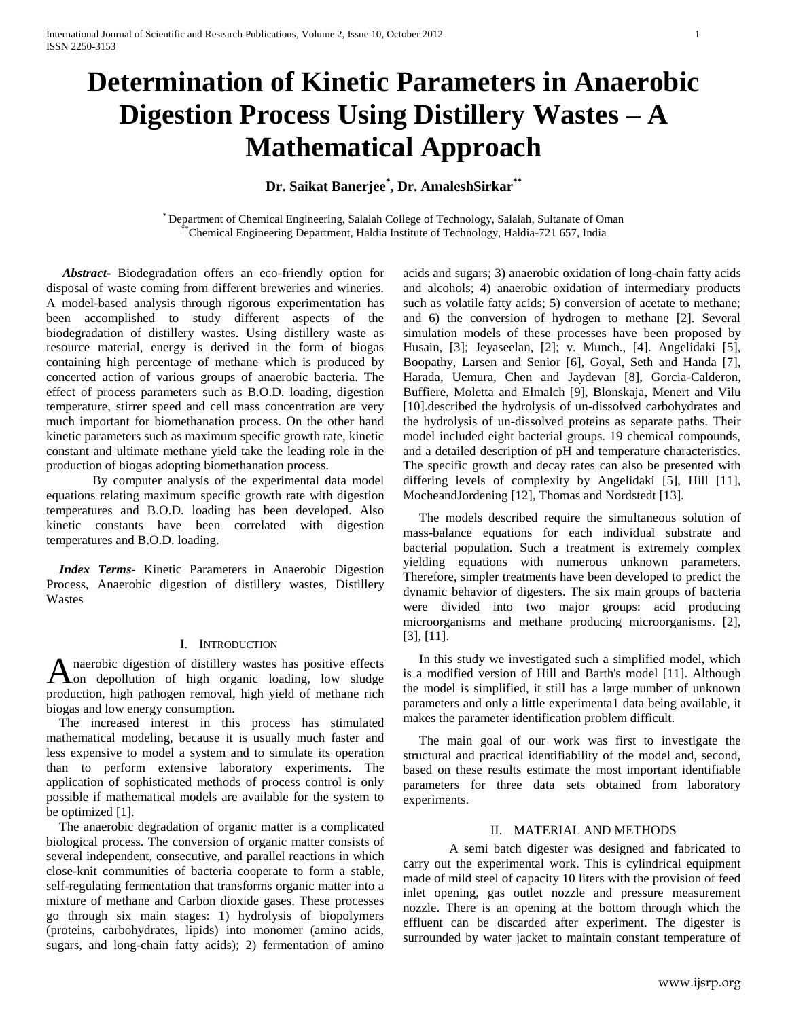# **Determination of Kinetic Parameters in Anaerobic Digestion Process Using Distillery Wastes – A Mathematical Approach**

# **Dr. Saikat Banerjee\* , Dr. AmaleshSirkar\*\***

\* Department of Chemical Engineering, Salalah College of Technology, Salalah, Sultanate of Oman Chemical Engineering Department, Haldia Institute of Technology, Haldia-721 657, India

 *Abstract***-** Biodegradation offers an eco-friendly option for disposal of waste coming from different breweries and wineries. A model-based analysis through rigorous experimentation has been accomplished to study different aspects of the biodegradation of distillery wastes. Using distillery waste as resource material, energy is derived in the form of biogas containing high percentage of methane which is produced by concerted action of various groups of anaerobic bacteria. The effect of process parameters such as B.O.D. loading, digestion temperature, stirrer speed and cell mass concentration are very much important for biomethanation process. On the other hand kinetic parameters such as maximum specific growth rate, kinetic constant and ultimate methane yield take the leading role in the production of biogas adopting biomethanation process.

By computer analysis of the experimental data model equations relating maximum specific growth rate with digestion temperatures and B.O.D. loading has been developed. Also kinetic constants have been correlated with digestion temperatures and B.O.D. loading.

 *Index Terms*- Kinetic Parameters in Anaerobic Digestion Process, Anaerobic digestion of distillery wastes, Distillery Wastes

## I. INTRODUCTION

naerobic digestion of distillery wastes has positive effects Anaerobic digestion of distillery wastes has positive effects on depollution of high organic loading, low sludge production, high pathogen removal, high yield of methane rich biogas and low energy consumption.

 The increased interest in this process has stimulated mathematical modeling, because it is usually much faster and less expensive to model a system and to simulate its operation than to perform extensive laboratory experiments. The application of sophisticated methods of process control is only possible if mathematical models are available for the system to be optimized [1].

 The anaerobic degradation of organic matter is a complicated biological process. The conversion of organic matter consists of several independent, consecutive, and parallel reactions in which close-knit communities of bacteria cooperate to form a stable, self-regulating fermentation that transforms organic matter into a mixture of methane and Carbon dioxide gases. These processes go through six main stages: 1) hydrolysis of biopolymers (proteins, carbohydrates, lipids) into monomer (amino acids, sugars, and long-chain fatty acids); 2) fermentation of amino

acids and sugars; 3) anaerobic oxidation of long-chain fatty acids and alcohols; 4) anaerobic oxidation of intermediary products such as volatile fatty acids; 5) conversion of acetate to methane; and 6) the conversion of hydrogen to methane [2]. Several simulation models of these processes have been proposed by Husain, [3]; Jeyaseelan, [2]; v. Munch., [4]. Angelidaki [5], Boopathy, Larsen and Senior [6], Goyal, Seth and Handa [7], Harada, Uemura, Chen and Jaydevan [8], Gorcia-Calderon, Buffiere, Moletta and Elmalch [9], Blonskaja, Menert and Vilu [10].described the hydrolysis of un-dissolved carbohydrates and the hydrolysis of un-dissolved proteins as separate paths. Their model included eight bacterial groups. 19 chemical compounds, and a detailed description of pH and temperature characteristics. The specific growth and decay rates can also be presented with differing levels of complexity by Angelidaki [5], Hill [11], MocheandJordening [12], Thomas and Nordstedt [13].

 The models described require the simultaneous solution of mass-balance equations for each individual substrate and bacterial population. Such a treatment is extremely complex yielding equations with numerous unknown parameters. Therefore, simpler treatments have been developed to predict the dynamic behavior of digesters. The six main groups of bacteria were divided into two major groups: acid producing microorganisms and methane producing microorganisms. [2], [3], [11].

 In this study we investigated such a simplified model, which is a modified version of Hill and Barth's model [11]. Although the model is simplified, it still has a large number of unknown parameters and only a little experimenta1 data being available, it makes the parameter identification problem difficult.

 The main goal of our work was first to investigate the structural and practical identifiability of the model and, second, based on these results estimate the most important identifiable parameters for three data sets obtained from laboratory experiments.

## II. MATERIAL AND METHODS

A semi batch digester was designed and fabricated to carry out the experimental work. This is cylindrical equipment made of mild steel of capacity 10 liters with the provision of feed inlet opening, gas outlet nozzle and pressure measurement nozzle. There is an opening at the bottom through which the effluent can be discarded after experiment. The digester is surrounded by water jacket to maintain constant temperature of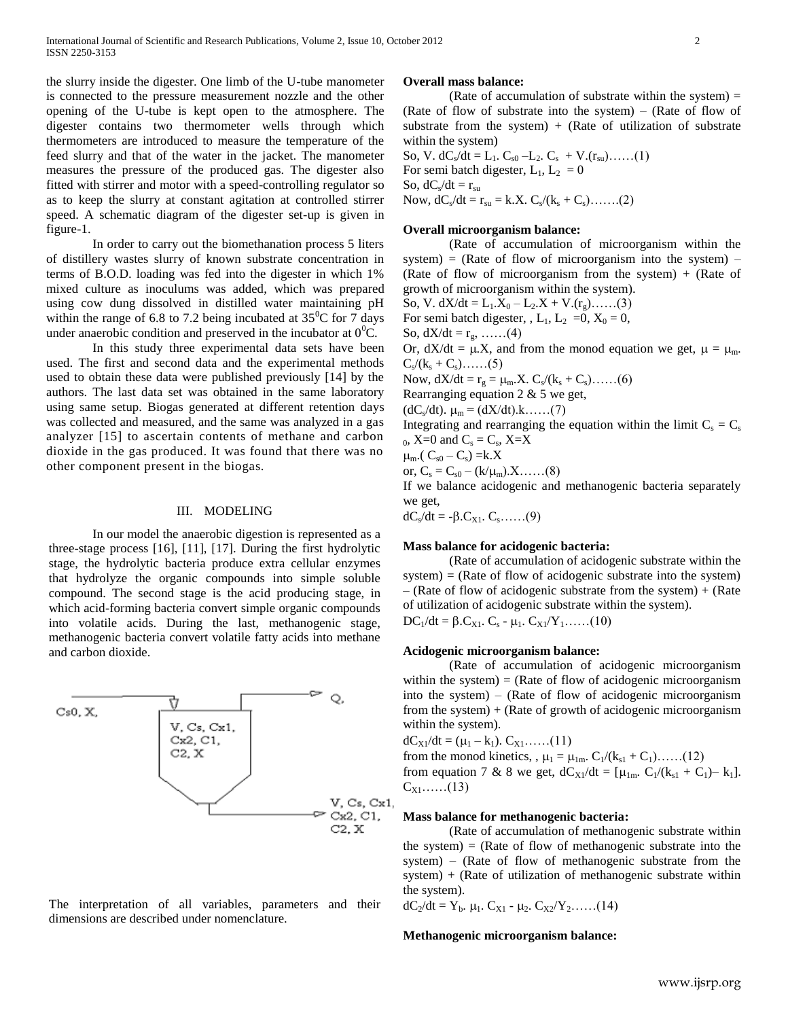the slurry inside the digester. One limb of the U-tube manometer is connected to the pressure measurement nozzle and the other opening of the U-tube is kept open to the atmosphere. The digester contains two thermometer wells through which thermometers are introduced to measure the temperature of the feed slurry and that of the water in the jacket. The manometer measures the pressure of the produced gas. The digester also fitted with stirrer and motor with a speed-controlling regulator so as to keep the slurry at constant agitation at controlled stirrer speed. A schematic diagram of the digester set-up is given in figure-1.

In order to carry out the biomethanation process 5 liters of distillery wastes slurry of known substrate concentration in terms of B.O.D. loading was fed into the digester in which 1% mixed culture as inoculums was added, which was prepared using cow dung dissolved in distilled water maintaining pH within the range of 6.8 to 7.2 being incubated at  $35^{\circ}$ C for 7 days under anaerobic condition and preserved in the incubator at  $0^0C$ .

In this study three experimental data sets have been used. The first and second data and the experimental methods used to obtain these data were published previously [14] by the authors. The last data set was obtained in the same laboratory using same setup. Biogas generated at different retention days was collected and measured, and the same was analyzed in a gas analyzer [15] to ascertain contents of methane and carbon dioxide in the gas produced. It was found that there was no other component present in the biogas.

## III. MODELING

In our model the anaerobic digestion is represented as a three-stage process [16], [11], [17]. During the first hydrolytic stage, the hydrolytic bacteria produce extra cellular enzymes that hydrolyze the organic compounds into simple soluble compound. The second stage is the acid producing stage, in which acid-forming bacteria convert simple organic compounds into volatile acids. During the last, methanogenic stage, methanogenic bacteria convert volatile fatty acids into methane and carbon dioxide.



The interpretation of all variables, parameters and their dimensions are described under nomenclature.

#### **Overall mass balance:**

(Rate of accumulation of substrate within the system)  $=$ (Rate of flow of substrate into the system) – (Rate of flow of substrate from the system)  $+$  (Rate of utilization of substrate within the system)

So, V.  $dC_s/dt = L_1$ .  $C_{s0} - L_2$ .  $C_s + V(r_{su})$ ......(1) For semi batch digester,  $L_1$ ,  $L_2 = 0$ So,  $dC_s/dt = r_{su}$ Now,  $dC_s/dt = r_{su} = k.X$ .  $C_s/(k_s + C_s)$ .......(2)

#### **Overall microorganism balance:**

(Rate of accumulation of microorganism within the system) = (Rate of flow of microorganism into the system)  $-$ (Rate of flow of microorganism from the system)  $+$  (Rate of growth of microorganism within the system).

So, V.  $dX/dt = L_1.X_0 - L_2.X + V.(r_g)...(3)$ For semi batch digester, ,  $L_1$ ,  $L_2 = 0$ ,  $X_0 = 0$ ,

So,  $dX/dt = r_g, \dots (4)$ 

Or,  $dX/dt = \mu.X$ , and from the monod equation we get,  $\mu = \mu_m$ .  $C_s / (k_s + C_s)$ ......(5)

Now,  $dX/dt = r_g = \mu_m.X$ .  $C_s/(k_s + C_s)$ ......(6)

Rearranging equation 2 & 5 we get,

 $(dC_s/dt)$ .  $\mu_m = (dX/dt)$ .k…...(7)

Integrating and rearranging the equation within the limit  $C_s = C_s$  $_0$ , X=0 and C<sub>s</sub> = C<sub>s</sub>, X=X

 $\mu_{m}$ .( C<sub>s0</sub> – C<sub>s</sub>) = k.X

or,  $C_s = C_{s0} - (k/\mu_m) \cdot X \dots (8)$ 

If we balance acidogenic and methanogenic bacteria separately we get,

 $dC_s/dt = -\beta.C_{X1}. C_s. \dots (9)$ 

### **Mass balance for acidogenic bacteria:**

(Rate of accumulation of acidogenic substrate within the  $system = (Rate of flow of acidogenic substrate into the system)$  $-$  (Rate of flow of acidogenic substrate from the system)  $+$  (Rate of utilization of acidogenic substrate within the system).

 $DC_1/dt = \beta.C_{X1}. C_s - \mu_1.C_{X1}/Y_1....(10)$ 

## **Acidogenic microorganism balance:**

(Rate of accumulation of acidogenic microorganism within the system)  $=$  (Rate of flow of acidogenic microorganism into the system) – (Rate of flow of acidogenic microorganism from the system) + (Rate of growth of acidogenic microorganism within the system).

 $dC_{X1}/dt = (\mu_1 - k_1)$ .  $C_{X1}$ ......(11)

from the monod kinetics, ,  $\mu_1 = \mu_{1m}$ .  $C_1/(k_{s1} + C_1)$ ……(12) from equation 7 & 8 we get,  $dC_{X1}/dt = [\mu_{1m} \cdot C_{1}/(k_{s1} + C_{1}) - k_{1}].$  $C_{X1}$ ……(13)

#### **Mass balance for methanogenic bacteria:**

(Rate of accumulation of methanogenic substrate within the system)  $=$  (Rate of flow of methanogenic substrate into the system) – (Rate of flow of methanogenic substrate from the system)  $+$  (Rate of utilization of methanogenic substrate within the system).

 $dC_2/dt = Y_b$ .  $\mu_1$ .  $C_{X1}$  -  $\mu_2$ .  $C_{X2}/Y_2$ ……(14)

#### **Methanogenic microorganism balance:**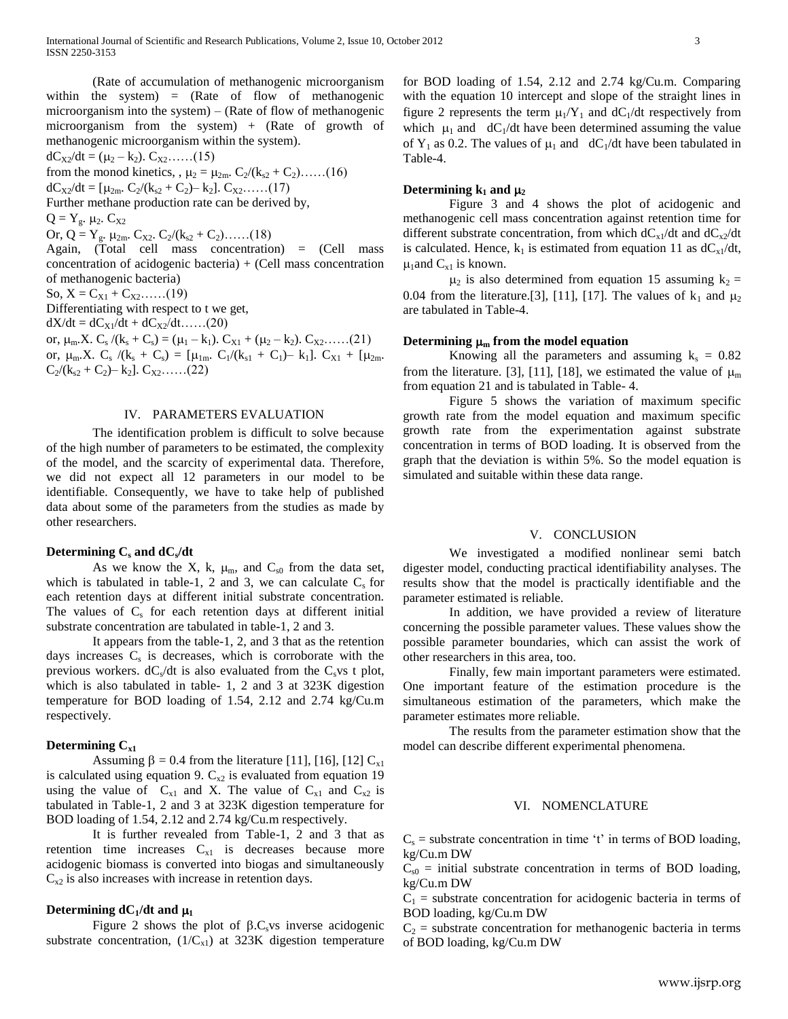(Rate of accumulation of methanogenic microorganism within the system)  $=$  (Rate of flow of methanogenic microorganism into the system) – (Rate of flow of methanogenic microorganism from the system) + (Rate of growth of methanogenic microorganism within the system).

 $dC_{X2}/dt = (\mu_2 - k_2)$ .  $C_{X2}$ ......(15)

from the monod kinetics, ,  $\mu_2 = \mu_{2m}$ .  $C_2/(k_{s2} + C_2)$ ……(16)

 $dC_{X2}/dt = [\mu_{2m}$ .  $C_2/(k_{s2} + C_2) - k_2]$ .  $C_{X2}$ ......(17) Further methane production rate can be derived by,

 $Q = Y_g$ .  $\mu_2$ .  $C_{X2}$ 

Or, Q = Y<sub>g</sub>.  $\mu_{2m}$ . C<sub>X2</sub>. C<sub>2</sub>/(k<sub>s2</sub> + C<sub>2</sub>)......(18)

Again, (Total cell mass concentration) = (Cell mass concentration of acidogenic bacteria) + (Cell mass concentration of methanogenic bacteria)

So,  $X = C_{X1} + C_{X2}$ ……(19)

Differentiating with respect to t we get,

 $dX/dt = dC_{X1}/dt + dC_{X2}/dt$ ……(20)

or,  $\mu_m$ .X.  $C_s / (k_s + C_s) = (\mu_1 - k_1)$ .  $C_{X1} + (\mu_2 - k_2)$ .  $C_{X2}$ ......(21) or,  $\mu_m$ .X. C<sub>s</sub> /(k<sub>s</sub> + C<sub>s</sub>) = [ $\mu_{1m}$ . C<sub>1</sub>/(k<sub>s1</sub> + C<sub>1</sub>)– k<sub>1</sub>]. C<sub>X1</sub> + [ $\mu_{2m}$ .  $C_2/(k_{s2} + C_2) - k_2$ .  $C_{X2}$ . . . . . . (22)

#### IV. PARAMETERS EVALUATION

The identification problem is difficult to solve because of the high number of parameters to be estimated, the complexity of the model, and the scarcity of experimental data. Therefore, we did not expect all 12 parameters in our model to be identifiable. Consequently, we have to take help of published data about some of the parameters from the studies as made by other researchers.

## **Determining C<sup>s</sup> and dC<sup>s</sup> /dt**

As we know the X, k,  $\mu_m$ , and  $C_{s0}$  from the data set, which is tabulated in table-1, 2 and 3, we can calculate  $C_s$  for each retention days at different initial substrate concentration. The values of  $C_s$  for each retention days at different initial substrate concentration are tabulated in table-1, 2 and 3.

It appears from the table-1, 2, and 3 that as the retention days increases  $C_s$  is decreases, which is corroborate with the previous workers.  $dC_s/dt$  is also evaluated from the  $C_s$ vs t plot, which is also tabulated in table- 1, 2 and 3 at 323K digestion temperature for BOD loading of 1.54, 2.12 and 2.74 kg/Cu.m respectively.

#### **Determining Cx1**

Assuming  $\beta = 0.4$  from the literature [11], [16], [12]  $C_{x1}$ is calculated using equation 9.  $C_{x2}$  is evaluated from equation 19 using the value of  $C_{x1}$  and X. The value of  $C_{x1}$  and  $C_{x2}$  is tabulated in Table-1, 2 and 3 at 323K digestion temperature for BOD loading of 1.54, 2.12 and 2.74 kg/Cu.m respectively.

It is further revealed from Table-1, 2 and 3 that as retention time increases  $C_{x1}$  is decreases because more acidogenic biomass is converted into biogas and simultaneously  $C_{x2}$  is also increases with increase in retention days.

## **Determining dC**<sup> $1$ </sup>/dt and  $\mu_1$

Figure 2 shows the plot of  $\beta$ .C<sub>s</sub>vs inverse acidogenic substrate concentration,  $(1/C_{x1})$  at 323K digestion temperature

for BOD loading of 1.54, 2.12 and 2.74 kg/Cu.m. Comparing with the equation 10 intercept and slope of the straight lines in figure 2 represents the term  $\mu_1/Y_1$  and  $dC_1/dt$  respectively from which  $\mu_1$  and dC<sub>1</sub>/dt have been determined assuming the value of Y<sub>1</sub> as 0.2. The values of  $\mu_1$  and dC<sub>1</sub>/dt have been tabulated in Table-4.

## **Determining**  $k_1$  **and**  $\mu_2$

Figure 3 and 4 shows the plot of acidogenic and methanogenic cell mass concentration against retention time for different substrate concentration, from which  $dC_{x1}/dt$  and  $dC_{x2}/dt$ is calculated. Hence,  $k_1$  is estimated from equation 11 as  $dC_{x1}/dt$ ,  $\mu_1$ and C<sub>x1</sub> is known.

 $\mu_2$  is also determined from equation 15 assuming  $k_2$  = 0.04 from the literature.[3], [11], [17]. The values of  $k_1$  and  $\mu_2$ are tabulated in Table-4.

## Determining  $\mu_m$  from the model equation

Knowing all the parameters and assuming  $k_s = 0.82$ from the literature. [3], [11], [18], we estimated the value of  $\mu_m$ from equation 21 and is tabulated in Table- 4.

Figure 5 shows the variation of maximum specific growth rate from the model equation and maximum specific growth rate from the experimentation against substrate concentration in terms of BOD loading. It is observed from the graph that the deviation is within 5%. So the model equation is simulated and suitable within these data range.

## V. CONCLUSION

We investigated a modified nonlinear semi batch digester model, conducting practical identifiability analyses. The results show that the model is practically identifiable and the parameter estimated is reliable.

In addition, we have provided a review of literature concerning the possible parameter values. These values show the possible parameter boundaries, which can assist the work of other researchers in this area, too.

Finally, few main important parameters were estimated. One important feature of the estimation procedure is the simultaneous estimation of the parameters, which make the parameter estimates more reliable.

The results from the parameter estimation show that the model can describe different experimental phenomena.

## VI. NOMENCLATURE

 $C_s$  = substrate concentration in time 't' in terms of BOD loading, kg/Cu.m DW

 $C_{s0}$  = initial substrate concentration in terms of BOD loading, kg/Cu.m DW

 $C_1$  = substrate concentration for acidogenic bacteria in terms of BOD loading, kg/Cu.m DW

 $C_2$  = substrate concentration for methanogenic bacteria in terms of BOD loading, kg/Cu.m DW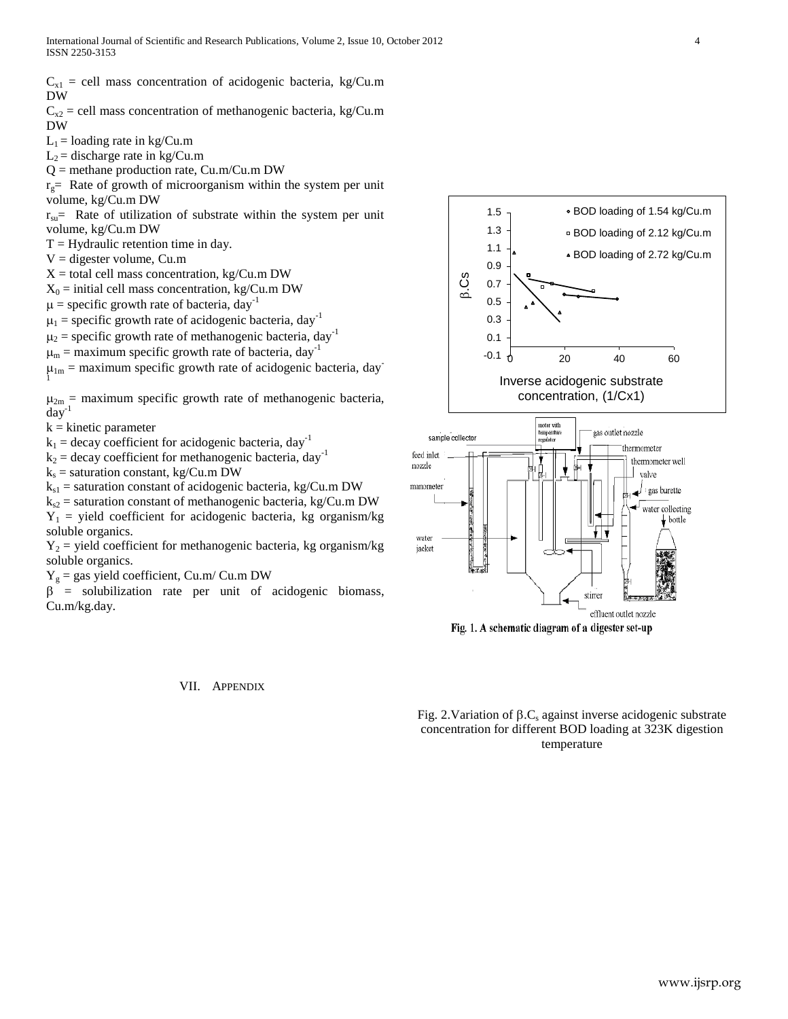$C_{x1}$  = cell mass concentration of acidogenic bacteria, kg/Cu.m DW

 $C_{x2}$  = cell mass concentration of methanogenic bacteria, kg/Cu.m DW

 $L_1$  = loading rate in kg/Cu.m

 $L_2$  = discharge rate in kg/Cu.m

 $Q =$  methane production rate, Cu.m/Cu.m DW

 $r<sub>g</sub>$  Rate of growth of microorganism within the system per unit volume, kg/Cu.m DW

 $r_{\text{su}}$  Rate of utilization of substrate within the system per unit volume, kg/Cu.m DW

 $T = Hy$  draulic retention time in day.

 $V =$  digester volume, Cu.m

 $X =$  total cell mass concentration, kg/Cu.m DW

 $X_0$  = initial cell mass concentration, kg/Cu.m DW

 $\mu$  = specific growth rate of bacteria, day<sup>-1</sup>

 $\mu_1$  = specific growth rate of acidogenic bacteria, day<sup>-1</sup>

 $\mu_2$  = specific growth rate of methanogenic bacteria, day<sup>-1</sup>

 $\mu_{\rm m}$  = maximum specific growth rate of bacteria, day<sup>-1</sup>

 $\mu_{1m}$  = maximum specific growth rate of acidogenic bacteria, day<sup>-</sup> 1

 $\mu_{2m}$  = maximum specific growth rate of methanogenic bacteria,  $day^{-1}$ 

 $k =$ kinetic parameter

 $k_1$  = decay coefficient for acidogenic bacteria, day<sup>-1</sup>

 $k_2$  = decay coefficient for methanogenic bacteria, day<sup>-1</sup>

 $k<sub>s</sub>$  = saturation constant, kg/Cu.m DW

 $k_{s1}$  = saturation constant of acidogenic bacteria, kg/Cu.m DW

 $k_{s2}$  = saturation constant of methanogenic bacteria, kg/Cu.m DW

 $Y_1$  = yield coefficient for acidogenic bacteria, kg organism/kg soluble organics.

 $Y_2$  = yield coefficient for methanogenic bacteria, kg organism/kg soluble organics.

 $Y_g$  = gas yield coefficient, Cu.m/ Cu.m DW

 $\beta$  = solubilization rate per unit of acidogenic biomass, Cu.m/kg.day.

#### VII. APPENDIX





Fig. 1. A schematic diagram of a digester set-up

Fig. 2. Variation of  $\beta$ . C<sub>s</sub> against inverse acidogenic substrate concentration for different BOD loading at 323K digestion temperature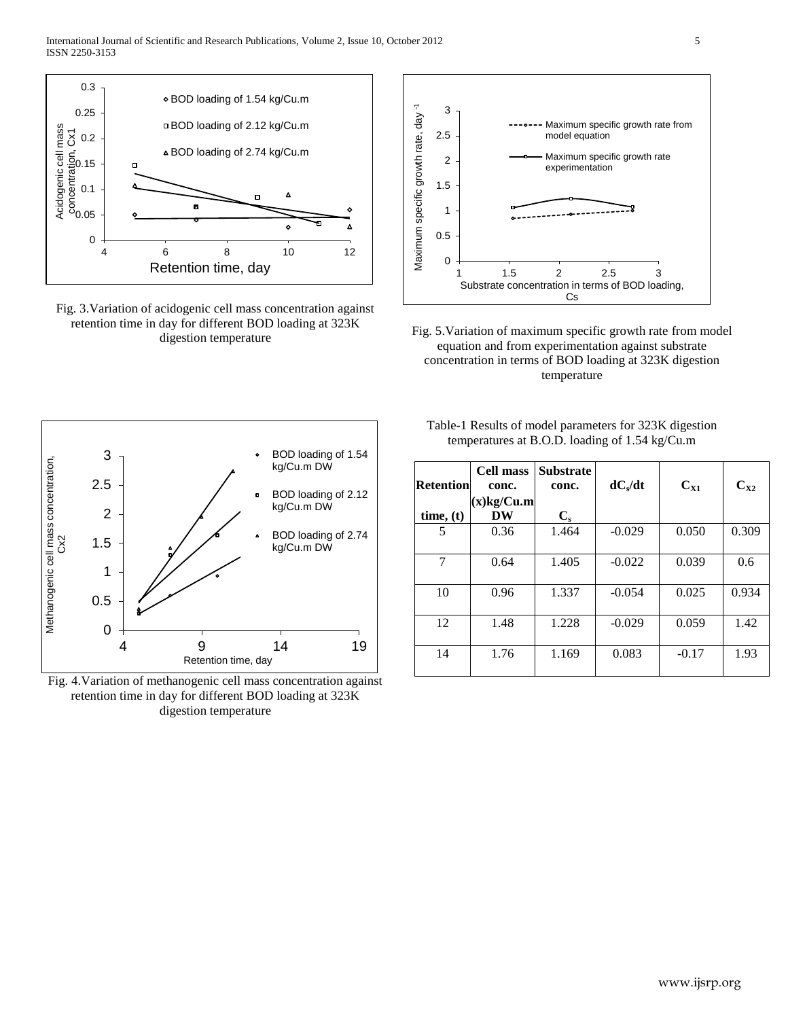

Fig. 3.Variation of acidogenic cell mass concentration against retention time in day for different BOD loading at 323K digestion temperature



Fig. 5.Variation of maximum specific growth rate from model equation and from experimentation against substrate concentration in terms of BOD loading at 323K digestion temperature



Fig. 4.Variation of methanogenic cell mass concentration against retention time in day for different BOD loading at 323K digestion temperature

Table-1 Results of model parameters for 323K digestion temperatures at B.O.D. loading of 1.54 kg/Cu.m

| <b>Retention</b> | <b>Cell mass</b><br>conc. | <b>Substrate</b><br>conc. | $dC_s/dt$ | $C_{X1}$ | $C_{X2}$ |
|------------------|---------------------------|---------------------------|-----------|----------|----------|
| time, (t)        | $(x)$ kg/Cu.m<br>DW       | $C_{s}$                   |           |          |          |
| 5                | 0.36                      | 1.464                     | $-0.029$  | 0.050    | 0.309    |
| 7                | 0.64                      | 1.405                     | $-0.022$  | 0.039    | 0.6      |
| 10               | 0.96                      | 1.337                     | $-0.054$  | 0.025    | 0.934    |
| 12               | 1.48                      | 1.228                     | $-0.029$  | 0.059    | 1.42     |
| 14               | 1.76                      | 1.169                     | 0.083     | $-0.17$  | 1.93     |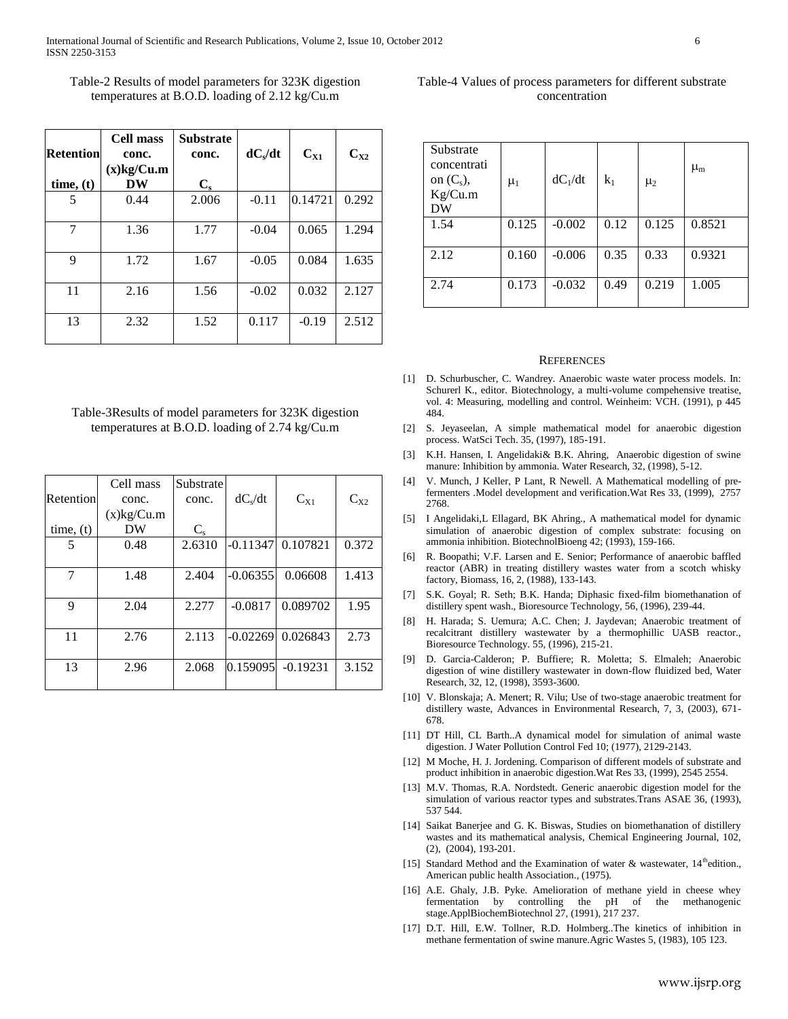| Table-2 Results of model parameters for 323K digestion   |
|----------------------------------------------------------|
| temperatures at B.O.D. loading of $2.12 \text{ kg/Cu.m}$ |

| <b>Retention</b><br>time, (t) | Cell mass<br>conc.<br>$(x)$ kg/Cu.m<br>DW | <b>Substrate</b><br>conc.<br>$\mathbf{C}_{\mathbf{s}}$ | $dC_s/dt$ | $C_{X1}$ | $C_{X2}$ |
|-------------------------------|-------------------------------------------|--------------------------------------------------------|-----------|----------|----------|
| 5                             | 0.44                                      | 2.006                                                  | $-0.11$   | 0.14721  | 0.292    |
| 7                             | 1.36                                      | 1.77                                                   | $-0.04$   | 0.065    | 1.294    |
| 9                             | 1.72                                      | 1.67                                                   | $-0.05$   | 0.084    | 1.635    |
| 11                            | 2.16                                      | 1.56                                                   | $-0.02$   | 0.032    | 2.127    |
| 13                            | 2.32                                      | 1.52                                                   | 0.117     | $-0.19$  | 2.512    |

## Table-3Results of model parameters for 323K digestion temperatures at B.O.D. loading of 2.74 kg/Cu.m

| Retention | Cell mass<br>conc. | Substrate<br>conc. | $dC_s/dt$  | $C_{X1}$              | $C_{X2}$ |
|-----------|--------------------|--------------------|------------|-----------------------|----------|
|           | $(x)$ kg/Cu.m      |                    |            |                       |          |
| time, (t) | DW                 | $C_{s}$            |            |                       |          |
| 5         | 0.48               | 2.6310             | $-0.11347$ | 0.107821              | 0.372    |
|           |                    |                    |            |                       |          |
| 7         | 1.48               | 2.404              | $-0.06355$ | 0.06608               | 1.413    |
|           |                    |                    |            |                       |          |
| 9         | 2.04               | 2.277              | $-0.0817$  | 0.089702              | 1.95     |
|           |                    |                    |            |                       |          |
| 11        | 2.76               | 2.113              | $-0.02269$ | 0.026843              | 2.73     |
|           |                    |                    |            |                       |          |
| 13        | 2.96               | 2.068              |            | $ 0.159095 $ -0.19231 | 3.152    |
|           |                    |                    |            |                       |          |

## Table-4 Values of process parameters for different substrate concentration

| Substrate<br>concentrati<br>on $(C_s)$ ,<br>Kg/Cu.m<br>DW | $\mu_1$ | $dC_1/dt$ | k1   | $\mu_2$ | $\mu_{\rm m}$ |
|-----------------------------------------------------------|---------|-----------|------|---------|---------------|
| 1.54                                                      | 0.125   | $-0.002$  | 0.12 | 0.125   | 0.8521        |
| 2.12                                                      | 0.160   | $-0.006$  | 0.35 | 0.33    | 0.9321        |
| 2.74                                                      | 0.173   | $-0.032$  | 0.49 | 0.219   | 1.005         |

#### **REFERENCES**

- [1] D. Schurbuscher, C. Wandrey. Anaerobic waste water process models. In: Schurerl K., editor. Biotechnology, a multi-volume compehensive treatise, vol. 4: Measuring, modelling and control. Weinheim: VCH. (1991), p 445 484.
- [2] S. Jeyaseelan, A simple mathematical model for anaerobic digestion process. WatSci Tech. 35, (1997), 185-191.
- [3] K.H. Hansen, I. Angelidaki& B.K. Ahring, Anaerobic digestion of swine manure: Inhibition by ammonia. Water Research, 32, (1998), 5-12.
- [4] V. Munch, J Keller, P Lant, R Newell. A Mathematical modelling of prefermenters .Model development and verification.Wat Res 33, (1999), 2757 2768.
- [5] I Angelidaki,L Ellagard, BK Ahring., A mathematical model for dynamic simulation of anaerobic digestion of complex substrate: focusing on ammonia inhibition. BiotechnolBioeng 42; (1993), 159-166.
- [6] R. Boopathi; V.F. Larsen and E. Senior; Performance of anaerobic baffled reactor (ABR) in treating distillery wastes water from a scotch whisky factory, Biomass, 16, 2, (1988), 133-143.
- [7] S.K. Goyal; R. Seth; B.K. Handa; Diphasic fixed-film biomethanation of distillery spent wash., Bioresource Technology, 56, (1996), 239-44.
- [8] H. Harada; S. Uemura; A.C. Chen; J. Jaydevan; Anaerobic treatment of recalcitrant distillery wastewater by a thermophillic UASB reactor., Bioresource Technology. 55, (1996), 215-21.
- [9] D. Garcia-Calderon; P. Buffiere; R. Moletta; S. Elmaleh; Anaerobic digestion of wine distillery wastewater in down-flow fluidized bed, Water Research, 32, 12, (1998), 3593-3600.
- [10] V. Blonskaja; A. Menert; R. Vilu; Use of two-stage anaerobic treatment for distillery waste, Advances in Environmental Research, 7, 3, (2003), 671- 678.
- [11] DT Hill, CL Barth..A dynamical model for simulation of animal waste digestion. J Water Pollution Control Fed 10; (1977), 2129-2143.
- [12] M Moche, H. J. Jordening. Comparison of different models of substrate and product inhibition in anaerobic digestion.Wat Res 33, (1999), 2545 2554.
- [13] M.V. Thomas, R.A. Nordstedt. Generic anaerobic digestion model for the simulation of various reactor types and substrates.Trans ASAE 36, (1993), 537 544.
- [14] Saikat Banerjee and G. K. Biswas, Studies on biomethanation of distillery wastes and its mathematical analysis, Chemical Engineering Journal, 102, (2), (2004), 193-201.
- [15] Standard Method and the Examination of water & wastewater,  $14^{\text{th}}$ edition., American public health Association., (1975).
- [16] A.E. Ghaly, J.B. Pyke. Amelioration of methane yield in cheese whey fermentation by controlling the pH of the methanogenic stage.ApplBiochemBiotechnol 27, (1991), 217 237.
- [17] D.T. Hill, E.W. Tollner, R.D. Holmberg..The kinetics of inhibition in methane fermentation of swine manure.Agric Wastes 5, (1983), 105 123.